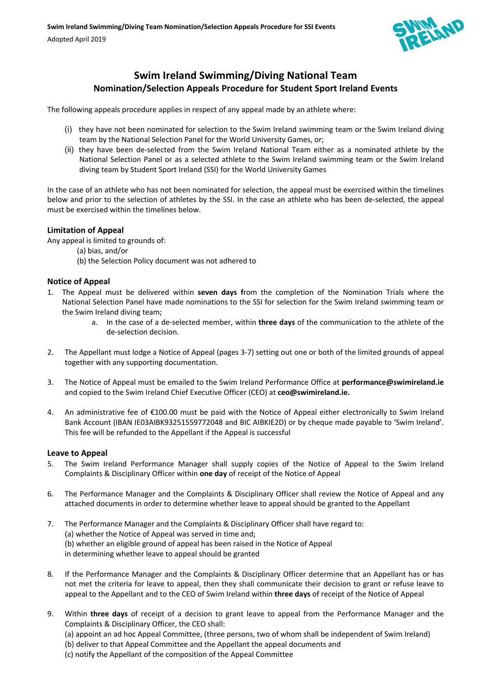

# **Swim Ireland Swimming/Diving National Team Nomination/Selection Appeals Procedure for Student Sport Ireland Events**

The following appeals procedure applies in respect of any appeal made by an athlete where:

- (i) they have not been nominated for selection to the Swim Ireland swimming team or the Swim Ireland diving team by the National Selection Panel for the World University Games, or;
- (ii) they have been de-selected from the Swim Ireland National Team either as a nominated athlete by the National Selection Panel or as a selected athlete to the Swim Ireland swimming team or the Swim Ireland diving team by Student Sport Ireland (SSI) for the World University Games

In the case of an athlete who has not been nominated for selection, the appeal must be exercised within the timelines below and prior to the selection of athletes by the SSI. In the case an athlete who has been de-selected, the appeal must be exercised within the timelines below.

## **Limitation of Appeal**

Any appeal is limited to grounds of:

- (a) bias, and/or
- (b) the Selection Policy document was not adhered to

## **Notice of Appeal**

- 1. The Appeal must be delivered within **seven days f**rom the completion of the Nomination Trials where the National Selection Panel have made nominations to the SSI for selection for the Swim Ireland swimming team or the Swim Ireland diving team;
	- a. In the case of a de-selected member, within **three days** of the communication to the athlete of the de-selection decision.
- 2. The Appellant must lodge a Notice of Appeal (pages 3-7) setting out one or both of the limited grounds of appeal together with any supporting documentation.
- 3. The Notice of Appeal must be emailed to the Swim Ireland Performance Office at **performance@swimireland.ie** and copied to the Swim Ireland Chief Executive Officer (CEO) at **ceo@swimireland.ie.**
- 4. An administrative fee of €100.00 must be paid with the Notice of Appeal either electronically to Swim Ireland Bank Account (IBAN IE03AIBK93251559772048 and BIC AIBKIE2D) or by cheque made payable to 'Swim Ireland'. This fee will be refunded to the Appellant if the Appeal is successful

### **Leave to Appeal**

- 5. The Swim Ireland Performance Manager shall supply copies of the Notice of Appeal to the Swim Ireland Complaints & Disciplinary Officer within **one day** of receipt of the Notice of Appeal
- 6. The Performance Manager and the Complaints & Disciplinary Officer shall review the Notice of Appeal and any attached documents in order to determine whether leave to appeal should be granted to the Appellant
- 7. The Performance Manager and the Complaints & Disciplinary Officer shall have regard to: (a) whether the Notice of Appeal was served in time and; (b) whether an eligible ground of appeal has been raised in the Notice of Appeal in determining whether leave to appeal should be granted
- 8. If the Performance Manager and the Complaints & Disciplinary Officer determine that an Appellant has or has not met the criteria for leave to appeal, then they shall communicate their decision to grant or refuse leave to appeal to the Appellant and to the CEO of Swim Ireland within **three days** of receipt of the Notice of Appeal
- 9. Within **three days** of receipt of a decision to grant leave to appeal from the Performance Manager and the Complaints & Disciplinary Officer, the CEO shall:
	- (a) appoint an ad hoc Appeal Committee, (three persons, two of whom shall be independent of Swim Ireland)
	- (b) deliver to that Appeal Committee and the Appellant the appeal documents and
	- (c) notify the Appellant of the composition of the Appeal Committee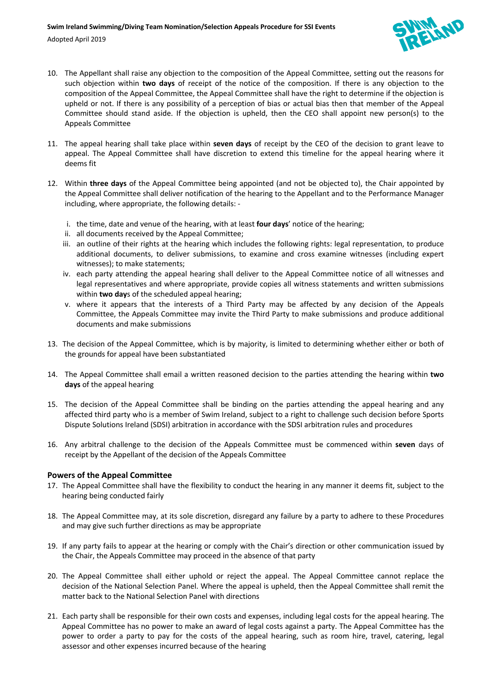

- 10. The Appellant shall raise any objection to the composition of the Appeal Committee, setting out the reasons for such objection within **two days** of receipt of the notice of the composition. If there is any objection to the composition of the Appeal Committee, the Appeal Committee shall have the right to determine if the objection is upheld or not. If there is any possibility of a perception of bias or actual bias then that member of the Appeal Committee should stand aside. If the objection is upheld, then the CEO shall appoint new person(s) to the Appeals Committee
- 11. The appeal hearing shall take place within **seven days** of receipt by the CEO of the decision to grant leave to appeal. The Appeal Committee shall have discretion to extend this timeline for the appeal hearing where it deems fit
- 12. Within **three days** of the Appeal Committee being appointed (and not be objected to), the Chair appointed by the Appeal Committee shall deliver notification of the hearing to the Appellant and to the Performance Manager including, where appropriate, the following details:
	- i. the time, date and venue of the hearing, with at least **four days**' notice of the hearing;
	- ii. all documents received by the Appeal Committee;
	- iii. an outline of their rights at the hearing which includes the following rights: legal representation, to produce additional documents, to deliver submissions, to examine and cross examine witnesses (including expert witnesses); to make statements;
	- iv. each party attending the appeal hearing shall deliver to the Appeal Committee notice of all witnesses and legal representatives and where appropriate, provide copies all witness statements and written submissions within **two day**s of the scheduled appeal hearing;
	- v. where it appears that the interests of a Third Party may be affected by any decision of the Appeals Committee, the Appeals Committee may invite the Third Party to make submissions and produce additional documents and make submissions
- 13. The decision of the Appeal Committee, which is by majority, is limited to determining whether either or both of the grounds for appeal have been substantiated
- 14. The Appeal Committee shall email a written reasoned decision to the parties attending the hearing within **two days** of the appeal hearing
- 15. The decision of the Appeal Committee shall be binding on the parties attending the appeal hearing and any affected third party who is a member of Swim Ireland, subject to a right to challenge such decision before Sports Dispute Solutions Ireland (SDSI) arbitration in accordance with the SDSI arbitration rules and procedures
- 16. Any arbitral challenge to the decision of the Appeals Committee must be commenced within **seven** days of receipt by the Appellant of the decision of the Appeals Committee

# **Powers of the Appeal Committee**

- 17. The Appeal Committee shall have the flexibility to conduct the hearing in any manner it deems fit, subject to the hearing being conducted fairly
- 18. The Appeal Committee may, at its sole discretion, disregard any failure by a party to adhere to these Procedures and may give such further directions as may be appropriate
- 19. If any party fails to appear at the hearing or comply with the Chair's direction or other communication issued by the Chair, the Appeals Committee may proceed in the absence of that party
- 20. The Appeal Committee shall either uphold or reject the appeal. The Appeal Committee cannot replace the decision of the National Selection Panel. Where the appeal is upheld, then the Appeal Committee shall remit the matter back to the National Selection Panel with directions
- 21. Each party shall be responsible for their own costs and expenses, including legal costs for the appeal hearing. The Appeal Committee has no power to make an award of legal costs against a party. The Appeal Committee has the power to order a party to pay for the costs of the appeal hearing, such as room hire, travel, catering, legal assessor and other expenses incurred because of the hearing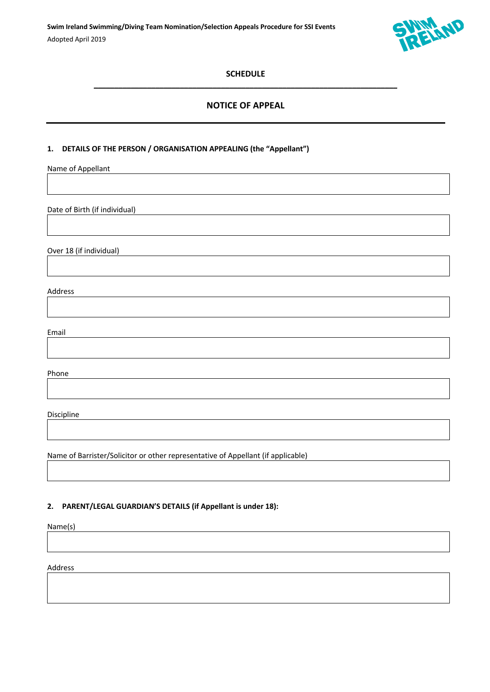

# **SCHEDULE**   $\mathcal{L}_\mathcal{L} = \{ \mathcal{L}_\mathcal{L} = \{ \mathcal{L}_\mathcal{L} = \{ \mathcal{L}_\mathcal{L} = \{ \mathcal{L}_\mathcal{L} = \{ \mathcal{L}_\mathcal{L} = \{ \mathcal{L}_\mathcal{L} = \{ \mathcal{L}_\mathcal{L} = \{ \mathcal{L}_\mathcal{L} = \{ \mathcal{L}_\mathcal{L} = \{ \mathcal{L}_\mathcal{L} = \{ \mathcal{L}_\mathcal{L} = \{ \mathcal{L}_\mathcal{L} = \{ \mathcal{L}_\mathcal{L} = \{ \mathcal{L}_\mathcal{$

# **NOTICE OF APPEAL**

# **1. DETAILS OF THE PERSON / ORGANISATION APPEALING (the "Appellant")**

Name of Appellant

Date of Birth (if individual)

Over 18 (if individual)

Address

Email

Phone

Discipline

Name of Barrister/Solicitor or other representative of Appellant (if applicable)

#### **2. PARENT/LEGAL GUARDIAN'S DETAILS (if Appellant is under 18):**

Name(s)

Address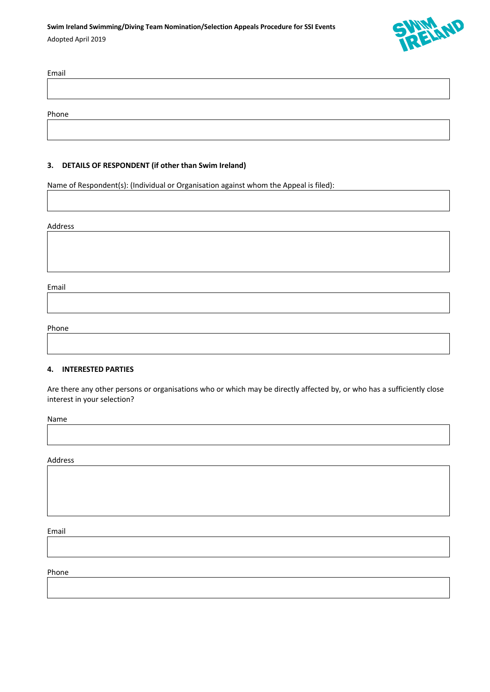

| Email |  |  |  |
|-------|--|--|--|
|       |  |  |  |
|       |  |  |  |
| Phone |  |  |  |

## **3. DETAILS OF RESPONDENT (if other than Swim Ireland)**

Name of Respondent(s): (Individual or Organisation against whom the Appeal is filed):

#### Address

Email

# Phone

#### **4. INTERESTED PARTIES**

Are there any other persons or organisations who or which may be directly affected by, or who has a sufficiently close interest in your selection?

Name

Address

Email

Phone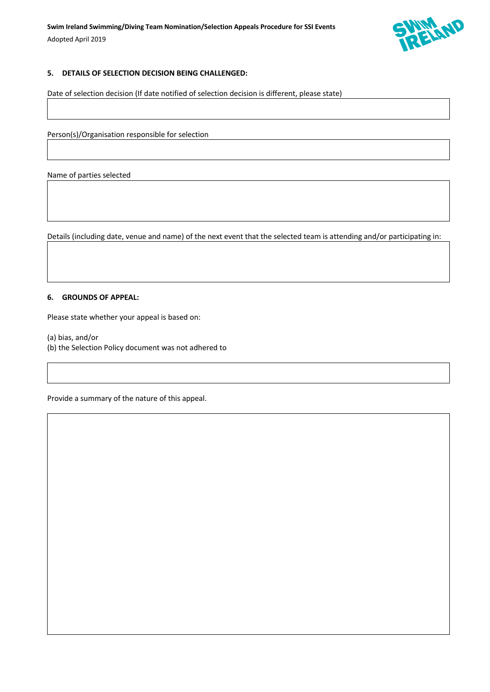

# **5. DETAILS OF SELECTION DECISION BEING CHALLENGED:**

Date of selection decision (If date notified of selection decision is different, please state)

Person(s)/Organisation responsible for selection

Name of parties selected

Details (including date, venue and name) of the next event that the selected team is attending and/or participating in:

#### **6. GROUNDS OF APPEAL:**

Please state whether your appeal is based on:

(a) bias, and/or

(b) the Selection Policy document was not adhered to

Provide a summary of the nature of this appeal.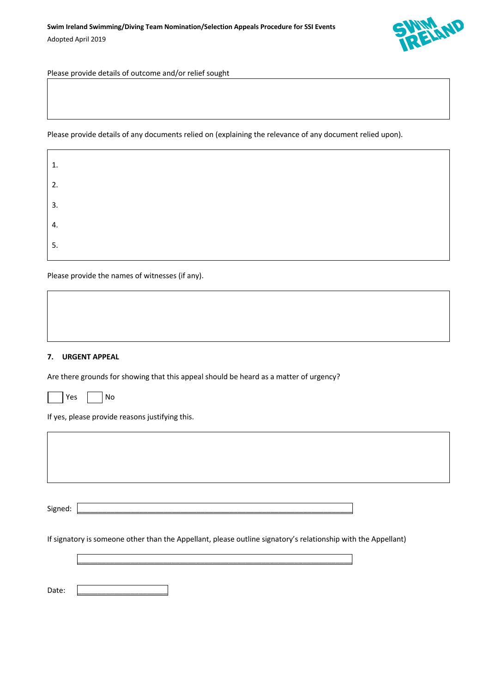

Please provide details of outcome and/or relief sought

Please provide details of any documents relied on (explaining the relevance of any document relied upon).

| 1. |  |  |
|----|--|--|
| 2. |  |  |
| 3. |  |  |
| 4. |  |  |
| 5. |  |  |

Please provide the names of witnesses (if any).

### **7. URGENT APPEAL**

Are there grounds for showing that this appeal should be heard as a matter of urgency?

| n c | N۸ |
|-----|----|
|-----|----|

If yes, please provide reasons justifying this.

Signed: \_\_\_\_\_\_\_\_\_\_\_\_\_\_\_\_\_\_\_\_\_\_\_\_\_\_\_\_\_\_\_\_\_\_\_\_\_\_\_\_\_\_\_\_\_\_\_\_\_\_\_\_\_\_\_\_\_\_\_\_\_\_\_\_\_\_\_

If signatory is someone other than the Appellant, please outline signatory's relationship with the Appellant)

\_\_\_\_\_\_\_\_\_\_\_\_\_\_\_\_\_\_\_\_\_\_\_\_\_\_\_\_\_\_\_\_\_\_\_\_\_\_\_\_\_\_\_\_\_\_\_\_\_\_\_\_\_\_\_\_\_\_\_\_\_\_\_\_\_\_\_

Date: